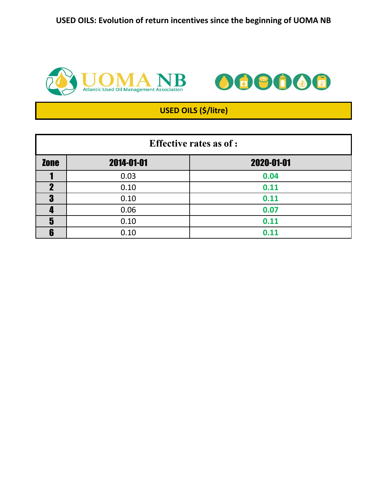**USED OILS: Evolution of return incentives since the beginning of UOMA NB**





# **USED OILS (\$/litre)**

| <b>Effective rates as of :</b> |            |            |  |  |
|--------------------------------|------------|------------|--|--|
| <b>Zone</b>                    | 2014-01-01 | 2020-01-01 |  |  |
|                                | 0.03       | 0.04       |  |  |
|                                | 0.10       | 0.11       |  |  |
| 3                              | 0.10       | 0.11       |  |  |
|                                | 0.06       | 0.07       |  |  |
| 5                              | 0.10       | 0.11       |  |  |
| ĥ                              | 0.10       | 0.11       |  |  |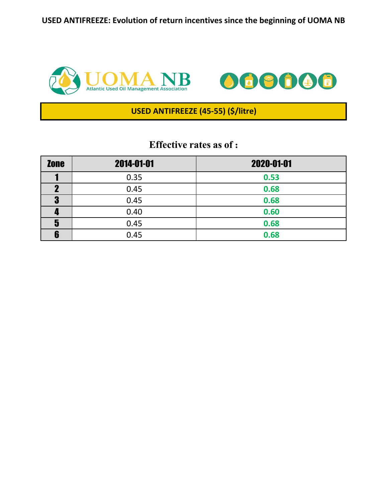**USED ANTIFREEZE: Evolution of return incentives since the beginning of UOMA NB**





### **USED ANTIFREEZE (45-55) (\$/litre)**

| <b>Zone</b> | 2014-01-01 | 2020-01-01 |
|-------------|------------|------------|
|             | 0.35       | 0.53       |
|             | 0.45       | 0.68       |
| 9<br>Ū      | 0.45       | 0.68       |
|             | 0.40       | 0.60       |
| 5           | 0.45       | 0.68       |
| 6           | 0.45       | 0.68       |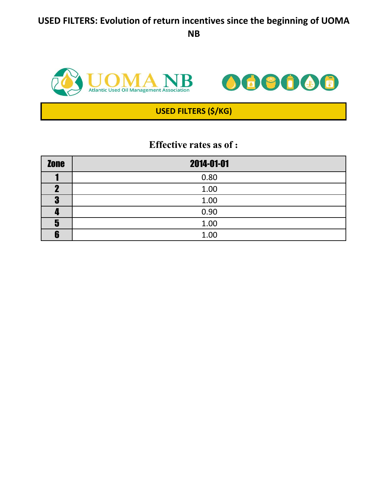## **USED FILTERS: Evolution of return incentives since the beginning of UOMA NB**



| <b>Zone</b> | 2014-01-01 |
|-------------|------------|
|             | 0.80       |
| ŋ           | 1.00       |
| Œ<br>П.     | 1.00       |
|             | 0.90       |
| 5           | 1.00       |
| œ           | 1.00       |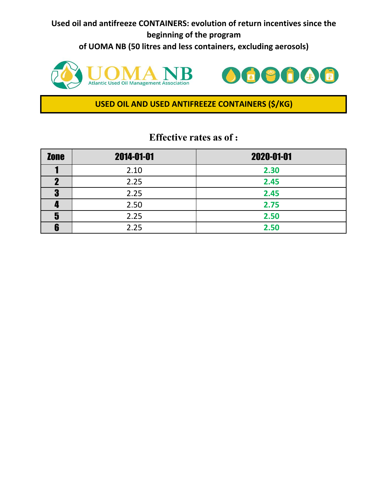**Used oil and antifreeze CONTAINERS: evolution of return incentives since the beginning of the program of UOMA NB (50 litres and less containers, excluding aerosols)**





#### **USED OIL AND USED ANTIFREEZE CONTAINERS (\$/KG)**

| <b>Zone</b> | 2014-01-01 | 2020-01-01 |
|-------------|------------|------------|
|             | 2.10       | 2.30       |
|             | 2.25       | 2.45       |
| D           | 2.25       | 2.45       |
|             | 2.50       | 2.75       |
| 5           | 2.25       | 2.50       |
|             | 2.25       | 2.50       |